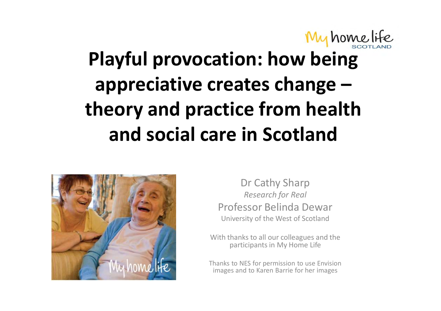

# Playful provocation: how being appreciative creates change – theory and practice from health and social care in Scotland



Dr Cathy Sharp Research for RealProfessor Belinda Dewar University of the West of Scotland

With thanks to all our colleagues and the participants in My Home Life

Thanks to NES for permission to use Envision images and to Karen Barrie for her images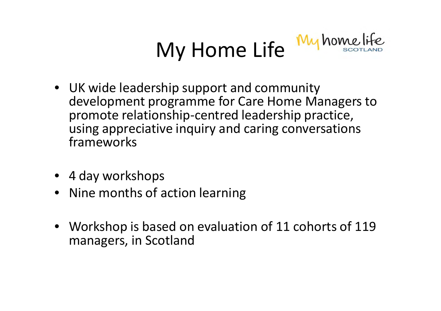#### My home life My Home Life

- UK wide leadership support and community development programme for Care Home Managers to promote relationship-centred leadership practice, using appreciative inquiry and caring conversations frameworks
- 4 day workshops
- Nine months of action learning
- Workshop is based on evaluation of 11 cohorts of 119 managers, in Scotland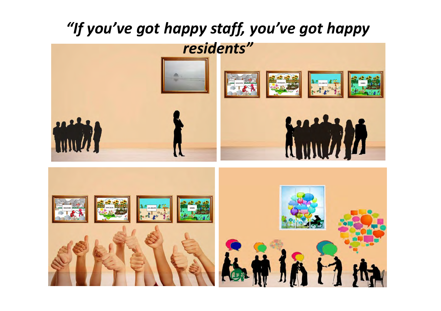#### "If you've got happy staff, you've got happy

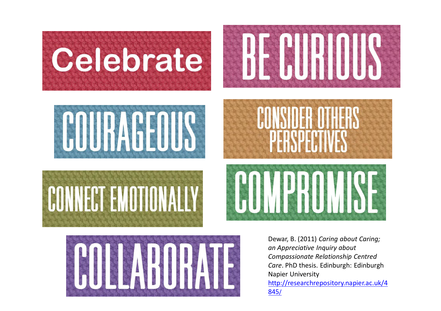



Dewar, B. (2011) Caring about Caring; an Appreciative Inquiry about Compassionate Relationship Centred Care. PhD thesis. Edinburgh: Edinburgh Napier University http://researchrepository.napier.ac.uk/4

845/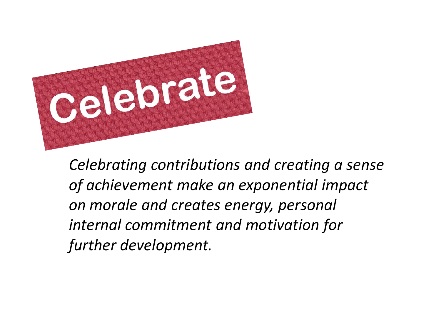

Celebrating contributions and creating a sense of achievement make an exponential impact on morale and creates energy, personal internal commitment and motivation for further development.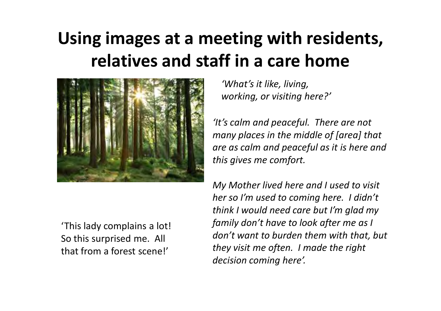#### Using images at a meeting with residents, relatives and staff in a care home



'This lady complains a lot! So this surprised me. All that from a forest scene!'

'What's it like, living, working, or visiting here?'

'It's calm and peaceful. There are not many places in the middle of [area] that are as calm and peaceful as it is here and this gives me comfort.

My Mother lived here and I used to visit her so I'm used to coming here. I didn't think I would need care but I'm glad my family don't have to look after me as I don't want to burden them with that, but they visit me often. I made the right decision coming here'.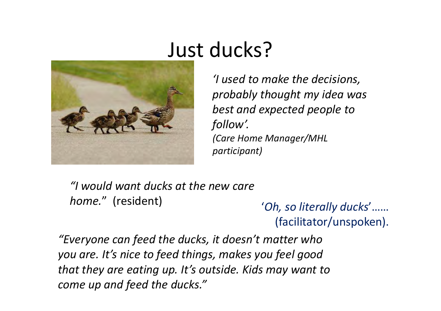## Just ducks?



'I used to make the decisions, probably thought my idea was best and expected people to follow'.(Care Home Manager/MHL participant)

"I would want ducks at the new care home." (resident)

 'Oh, so literally ducks'…… (facilitator/unspoken).

"Everyone can feed the ducks, it doesn't matter who you are. It's nice to feed things, makes you feel good that they are eating up. It's outside. Kids may want to come up and feed the ducks."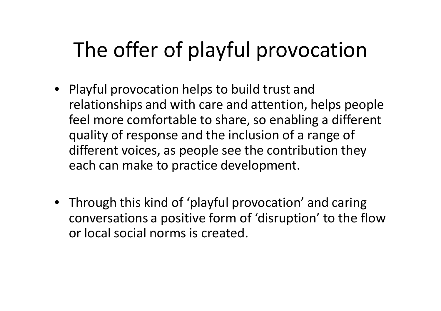# The offer of playful provocation

- Playful provocation helps to build trust and relationships and with care and attention, helps people feel more comfortable to share, so enabling a different quality of response and the inclusion of a range of different voices, as people see the contribution they each can make to practice development.
- Through this kind of 'playful provocation' and caring conversations a positive form of 'disruption' to the flow or local social norms is created.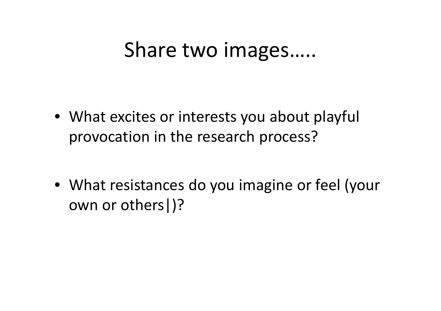### Share two images…..

• What excites or interests you about playful provocation in the research process?

• What resistances do you imagine or feel (your own or others|)?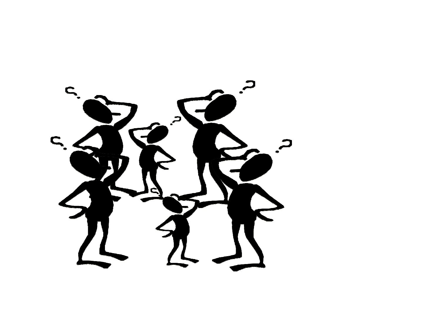